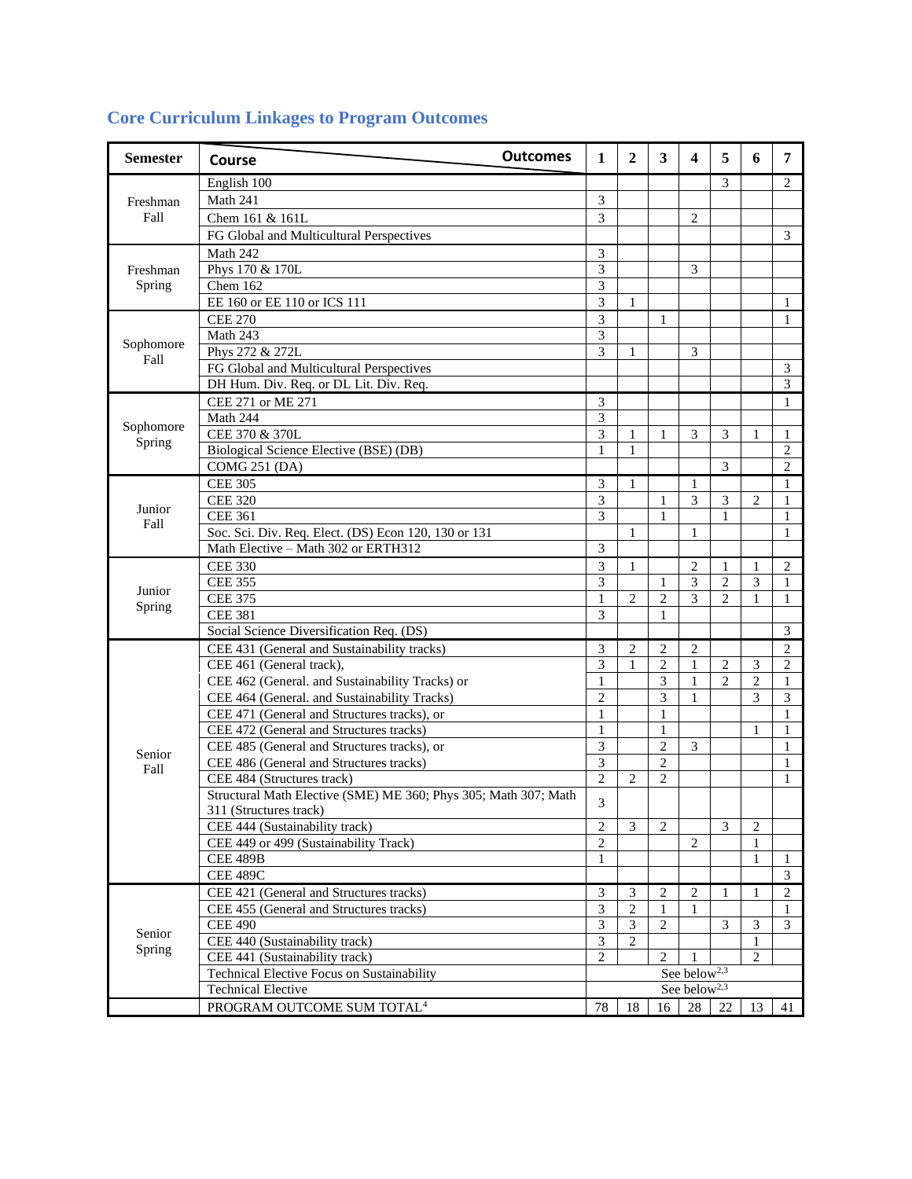| <b>Semester</b>    | <b>Outcomes</b><br>Course                                       | 1                        | 2              | 3              | 4              | 5              | 6              | 7                           |
|--------------------|-----------------------------------------------------------------|--------------------------|----------------|----------------|----------------|----------------|----------------|-----------------------------|
| Freshman<br>Fall   | English 100                                                     |                          |                |                |                | 3              |                | 2                           |
|                    | Math 241                                                        | 3                        |                |                |                |                |                |                             |
|                    | Chem 161 & 161L                                                 | $\overline{3}$           |                |                | $\overline{c}$ |                |                |                             |
|                    | FG Global and Multicultural Perspectives                        |                          |                |                |                |                |                | $\mathfrak{Z}$              |
|                    | Math 242                                                        | 3                        |                |                |                |                |                |                             |
| Freshman<br>Spring | Phys 170 & 170L                                                 | 3                        |                |                | 3              |                |                |                             |
|                    | $\overline{\text{Chem}}$ 162                                    | 3                        |                |                |                |                |                |                             |
|                    | EE 160 or EE 110 or ICS 111                                     | 3                        | 1              |                |                |                |                | 1                           |
|                    | <b>CEE 270</b>                                                  | 3                        |                | 1              |                |                |                | $\mathbf{1}$                |
| Sophomore<br>Fall  | Math 243                                                        | 3                        |                |                |                |                |                |                             |
|                    | Phys 272 & 272L                                                 | 3                        | $\mathbf{1}$   |                | 3              |                |                |                             |
|                    | FG Global and Multicultural Perspectives                        |                          |                |                |                |                |                | $\ensuremath{\mathfrak{Z}}$ |
|                    | DH Hum. Div. Req. or DL Lit. Div. Req.                          |                          |                |                |                |                |                | $\mathfrak{Z}$              |
|                    | CEE 271 or ME 271                                               | 3                        |                |                |                |                |                | $\mathbf{1}$                |
|                    | Math 244                                                        | $\overline{\mathbf{3}}$  |                |                |                |                |                |                             |
| Sophomore          | CEE 370 & 370L                                                  | 3                        | $\mathbf{1}$   | 1              | 3              | 3              | 1              | 1                           |
| Spring             | Biological Science Elective (BSE) (DB)                          | 1                        | 1              |                |                |                |                | 2                           |
|                    | <b>COMG 251 (DA)</b>                                            |                          |                |                |                | 3              |                | $\overline{2}$              |
|                    | <b>CEE 305</b>                                                  | 3                        | 1              |                | $\mathbf{1}$   |                |                | 1                           |
|                    | <b>CEE 320</b>                                                  | 3                        |                | 1              | 3              | 3              | 2              | 1                           |
| Junior             | <b>CEE 361</b>                                                  | 3                        |                | 1              |                | 1              |                | 1                           |
| Fall               | Soc. Sci. Div. Req. Elect. (DS) Econ 120, 130 or 131            |                          | $\mathbf{1}$   |                | 1              |                |                | 1                           |
|                    | Math Elective - Math 302 or ERTH312                             | 3                        |                |                |                |                |                |                             |
|                    | <b>CEE 330</b>                                                  | 3                        | 1              |                | $\overline{c}$ | 1              | 1              | 2                           |
|                    | <b>CEE 355</b>                                                  | 3                        |                | 1              | $\mathfrak{Z}$ | $\overline{c}$ | 3              | 1                           |
| Junior             | <b>CEE 375</b>                                                  | 1                        | $\overline{2}$ | $\overline{c}$ | 3              | $\overline{c}$ | 1              | 1                           |
| Spring             | <b>CEE 381</b>                                                  | 3                        |                | 1              |                |                |                |                             |
|                    | Social Science Diversification Req. (DS)                        |                          |                |                |                |                |                | 3                           |
|                    | CEE 431 (General and Sustainability tracks)                     | 3                        | $\overline{2}$ | $\overline{2}$ | $\overline{2}$ |                |                | $\overline{2}$              |
|                    | CEE 461 (General track),                                        | 3                        | $\mathbf{1}$   | $\overline{c}$ | $\mathbf{1}$   | $\overline{2}$ | 3              | $\overline{c}$              |
|                    | CEE 462 (General. and Sustainability Tracks) or                 | 1                        |                | 3              | $\mathbf{1}$   | $\overline{2}$ | $\overline{c}$ | 1                           |
|                    | CEE 464 (General. and Sustainability Tracks)                    | $\overline{c}$           |                | 3              | $\mathbf{1}$   |                | 3              | 3                           |
|                    | CEE 471 (General and Structures tracks), or                     | 1                        |                | 1              |                |                |                | 1                           |
|                    | CEE 472 (General and Structures tracks)                         | $\mathbf{1}$             |                | 1              |                |                | 1              | 1                           |
|                    | CEE 485 (General and Structures tracks), or                     | 3                        |                | $\overline{c}$ | 3              |                |                | 1                           |
| Senior             | CEE 486 (General and Structures tracks)                         | 3                        |                | $\overline{c}$ |                |                |                | 1                           |
| Fall               | CEE 484 (Structures track)                                      | $\overline{2}$           | $\overline{2}$ | $\overline{2}$ |                |                |                | 1                           |
|                    | Structural Math Elective (SME) ME 360; Phys 305; Math 307; Math |                          |                |                |                |                |                |                             |
|                    | 311 (Structures track)                                          | 3                        |                |                |                |                |                |                             |
|                    | CEE 444 (Sustainability track)                                  | $\overline{c}$           | 3              | 2              |                | 3              | 2              |                             |
|                    | CEE 449 or 499 (Sustainability Track)                           | $\overline{2}$           |                |                | $\overline{2}$ |                | 1              |                             |
|                    | <b>CEE 489B</b>                                                 | 1                        |                |                |                |                | $\mathbf{1}$   | 1                           |
|                    | <b>CEE 489C</b>                                                 |                          |                |                |                |                |                | 3                           |
| Senior<br>Spring   | CEE 421 (General and Structures tracks)                         | 3                        | 3              | 2              | $\overline{c}$ | 1              | 1              | $\overline{c}$              |
|                    | CEE 455 (General and Structures tracks)                         | $\mathfrak{Z}$           | $\sqrt{2}$     | $\mathbf{1}$   | 1              |                |                | 1                           |
|                    | <b>CEE 490</b>                                                  | 3                        | 3              | $\overline{c}$ |                | 3              | 3              | 3                           |
|                    | CEE 440 (Sustainability track)                                  | 3                        | $\overline{2}$ |                |                |                | $\mathbf{1}$   |                             |
|                    | CEE 441 (Sustainability track)                                  | 2                        |                | $\overline{2}$ | 1              |                | $\overline{2}$ |                             |
|                    | Technical Elective Focus on Sustainability                      | See below <sup>2,3</sup> |                |                |                |                |                |                             |
|                    | <b>Technical Elective</b>                                       | See below <sup>2,3</sup> |                |                |                |                |                |                             |
|                    | PROGRAM OUTCOME SUM TOTAL <sup>4</sup>                          | 78                       | 18             | 16             | 28             | 22             | 13             | 41                          |
|                    |                                                                 |                          |                |                |                |                |                |                             |

## **Core Curriculum Linkages to Program Outcomes**